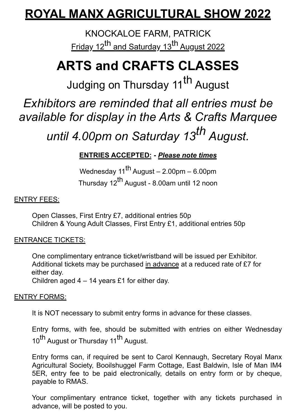### **ROYAL MANX AGRICULTURAL SHOW 2022**

KNOCKALOE FARM, PATRICK Friday 12<sup>th</sup> and Saturday 13<sup>th</sup> August 2022

## **ARTS and CRAFTS CLASSES**

Judging on Thursday 11<sup>th</sup> August

*Exhibitors are reminded that all entries must be available for display in the Arts & Crafts Marquee until 4.00pm on Saturday 13th August.*

### **ENTRIES ACCEPTED: -** *Please note times*

Wednesday  $11^{th}$  August – 2.00pm – 6.00pm Thursday 12<sup>th</sup> August - 8.00am until 12 noon

#### ENTRY FEES:

Open Classes, First Entry £7, additional entries 50p Children & Young Adult Classes, First Entry £1, additional entries 50p

#### ENTRANCE TICKETS:

One complimentary entrance ticket/wristband will be issued per Exhibitor. Additional tickets may be purchased in advance at a reduced rate of £7 for either day.

Children aged 4 – 14 years £1 for either day.

#### ENTRY FORMS:

It is NOT necessary to submit entry forms in advance for these classes.

Entry forms, with fee, should be submitted with entries on either Wednesday 10<sup>th</sup> August or Thursday 11<sup>th</sup> August.

Entry forms can, if required be sent to Carol Kennaugh, Secretary Royal Manx Agricultural Society, Booilshuggel Farm Cottage, East Baldwin, Isle of Man IM4 5ER, entry fee to be paid electronically, details on entry form or by cheque, payable to RMAS.

Your complimentary entrance ticket, together with any tickets purchased in advance, will be posted to you.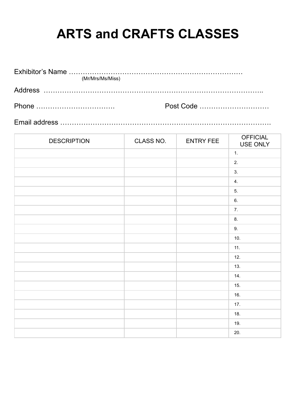# **ARTS and CRAFTS CLASSES**

| (Mr/Mrs/Ms/Miss) |           |
|------------------|-----------|
|                  |           |
|                  | Post Code |

Email address ……………………………………………………………………………….

| <b>DESCRIPTION</b> | CLASS NO. | <b>ENTRY FEE</b> | <b>OFFICIAL</b><br>USE ONLY |
|--------------------|-----------|------------------|-----------------------------|
|                    |           |                  | 1.                          |
|                    |           |                  | 2.                          |
|                    |           |                  | 3.                          |
|                    |           |                  | 4.                          |
|                    |           |                  | 5.                          |
|                    |           |                  | 6.                          |
|                    |           |                  | 7.                          |
|                    |           |                  | 8.                          |
|                    |           |                  | 9.                          |
|                    |           |                  | 10.                         |
|                    |           |                  | 11.                         |
|                    |           |                  | 12.                         |
|                    |           |                  | 13.                         |
|                    |           |                  | 14.                         |
|                    |           |                  | 15.                         |
|                    |           |                  | 16.                         |
|                    |           |                  | 17.                         |
|                    |           |                  | 18.                         |
|                    |           |                  | 19.                         |
|                    |           |                  | 20.                         |